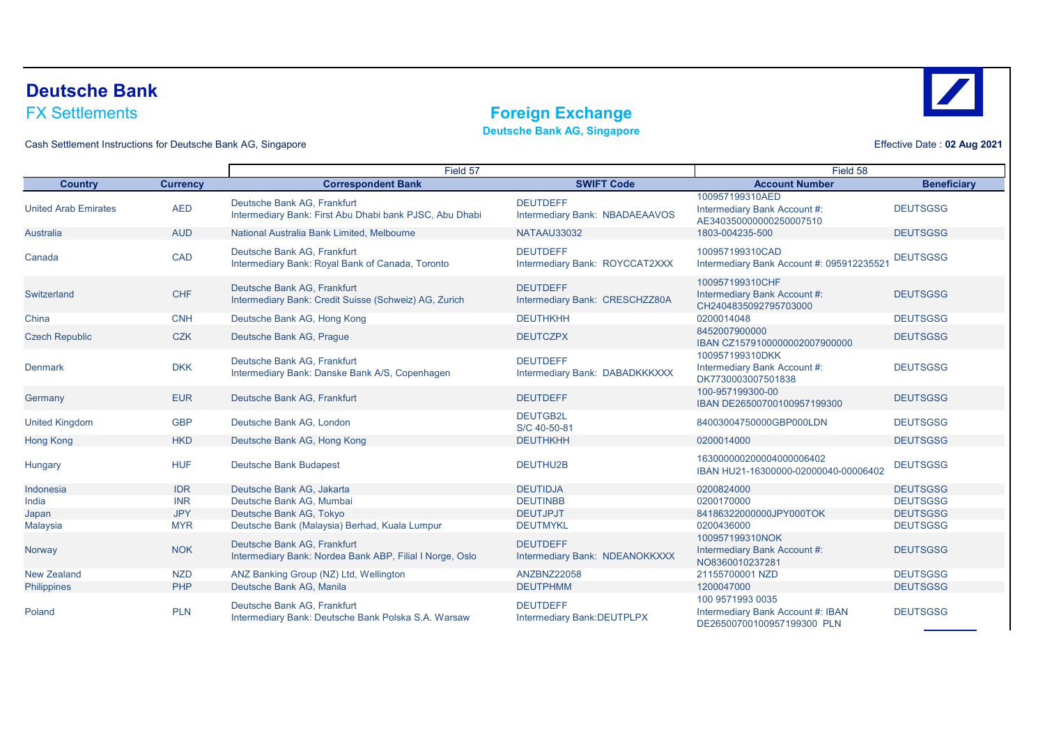# **Deutsche Bank**

### **Foreign Exchange**

**Deutsche Bank AG, Singapore**

Cash Settlement Instructions for Deutsche Bank AG, Singapore

|                             |                 | Field 57                                                                                |                                                   | Field 58                                                                            |                    |
|-----------------------------|-----------------|-----------------------------------------------------------------------------------------|---------------------------------------------------|-------------------------------------------------------------------------------------|--------------------|
| <b>Country</b>              | <b>Currency</b> | <b>Correspondent Bank</b>                                                               | <b>SWIFT Code</b>                                 | <b>Account Number</b>                                                               | <b>Beneficiary</b> |
| <b>United Arab Emirates</b> | <b>AED</b>      | Deutsche Bank AG. Frankfurt<br>Intermediary Bank: First Abu Dhabi bank PJSC, Abu Dhabi  | <b>DEUTDEFF</b><br>Intermediary Bank: NBADAEAAVOS | 100957199310AED<br>Intermediary Bank Account #:<br>AE340350000000250007510          | <b>DEUTSGSG</b>    |
| Australia                   | <b>AUD</b>      | National Australia Bank Limited, Melbourne                                              | NATAAU33032                                       | 1803-004235-500                                                                     | <b>DEUTSGSG</b>    |
| Canada                      | <b>CAD</b>      | Deutsche Bank AG. Frankfurt<br>Intermediary Bank: Royal Bank of Canada, Toronto         | <b>DEUTDEFF</b><br>Intermediary Bank: ROYCCAT2XXX | 100957199310CAD<br>Intermediary Bank Account #: 095912235521                        | <b>DEUTSGSG</b>    |
| Switzerland                 | <b>CHF</b>      | Deutsche Bank AG, Frankfurt<br>Intermediary Bank: Credit Suisse (Schweiz) AG, Zurich    | <b>DEUTDEFF</b><br>Intermediary Bank: CRESCHZZ80A | 100957199310CHF<br>Intermediary Bank Account #:<br>CH2404835092795703000            | <b>DEUTSGSG</b>    |
| China                       | <b>CNH</b>      | Deutsche Bank AG, Hong Kong                                                             | <b>DEUTHKHH</b>                                   | 0200014048                                                                          | <b>DEUTSGSG</b>    |
| <b>Czech Republic</b>       | <b>CZK</b>      | Deutsche Bank AG, Prague                                                                | <b>DEUTCZPX</b>                                   | 8452007900000<br>IBAN CZ1579100000002007900000                                      | <b>DEUTSGSG</b>    |
| <b>Denmark</b>              | <b>DKK</b>      | Deutsche Bank AG. Frankfurt<br>Intermediary Bank: Danske Bank A/S, Copenhagen           | <b>DEUTDEFF</b><br>Intermediary Bank: DABADKKKXXX | 100957199310DKK<br>Intermediary Bank Account #:<br>DK7730003007501838               | <b>DEUTSGSG</b>    |
| Germany                     | <b>EUR</b>      | Deutsche Bank AG, Frankfurt                                                             | <b>DEUTDEFF</b>                                   | 100-957199300-00<br>IBAN DE26500700100957199300                                     | <b>DEUTSGSG</b>    |
| <b>United Kingdom</b>       | <b>GBP</b>      | Deutsche Bank AG, London                                                                | DEUTGB2L<br>S/C 40-50-81                          | 84003004750000GBP000LDN                                                             | <b>DEUTSGSG</b>    |
| <b>Hong Kong</b>            | <b>HKD</b>      | Deutsche Bank AG, Hong Kong                                                             | <b>DEUTHKHH</b>                                   | 0200014000                                                                          | <b>DEUTSGSG</b>    |
| Hungary                     | <b>HUF</b>      | <b>Deutsche Bank Budapest</b>                                                           | DEUTHU2B                                          | 163000000200004000006402<br>IBAN HU21-16300000-02000040-00006402                    | <b>DEUTSGSG</b>    |
| Indonesia                   | <b>IDR</b>      | Deutsche Bank AG, Jakarta                                                               | <b>DEUTIDJA</b>                                   | 0200824000                                                                          | <b>DEUTSGSG</b>    |
| India                       | <b>INR</b>      | Deutsche Bank AG. Mumbai                                                                | <b>DEUTINBB</b>                                   | 0200170000                                                                          | <b>DEUTSGSG</b>    |
| Japan                       | <b>JPY</b>      | Deutsche Bank AG, Tokyo                                                                 | <b>DEUTJPJT</b>                                   | 84186322000000JPY000TOK                                                             | <b>DEUTSGSG</b>    |
| Malaysia                    | <b>MYR</b>      | Deutsche Bank (Malaysia) Berhad, Kuala Lumpur                                           | <b>DEUTMYKL</b>                                   | 0200436000                                                                          | <b>DEUTSGSG</b>    |
| Norway                      | <b>NOK</b>      | Deutsche Bank AG, Frankfurt<br>Intermediary Bank: Nordea Bank ABP, Filial I Norge, Oslo | <b>DEUTDEFF</b><br>Intermediary Bank: NDEANOKKXXX | 100957199310NOK<br>Intermediary Bank Account #:<br>NO8360010237281                  | <b>DEUTSGSG</b>    |
| <b>New Zealand</b>          | <b>NZD</b>      | ANZ Banking Group (NZ) Ltd, Wellington                                                  | ANZBNZ22058                                       | 21155700001 NZD                                                                     | <b>DEUTSGSG</b>    |
| Philippines                 | PHP             | Deutsche Bank AG, Manila                                                                | <b>DEUTPHMM</b>                                   | 1200047000                                                                          | <b>DEUTSGSG</b>    |
| Poland                      | <b>PLN</b>      | Deutsche Bank AG, Frankfurt<br>Intermediary Bank: Deutsche Bank Polska S.A. Warsaw      | <b>DEUTDEFF</b><br>Intermediary Bank: DEUTPLPX    | 100 9571993 0035<br>Intermediary Bank Account #: IBAN<br>DE26500700100957199300 PLN | <b>DEUTSGSG</b>    |



Effective Date : **02 Aug 2021**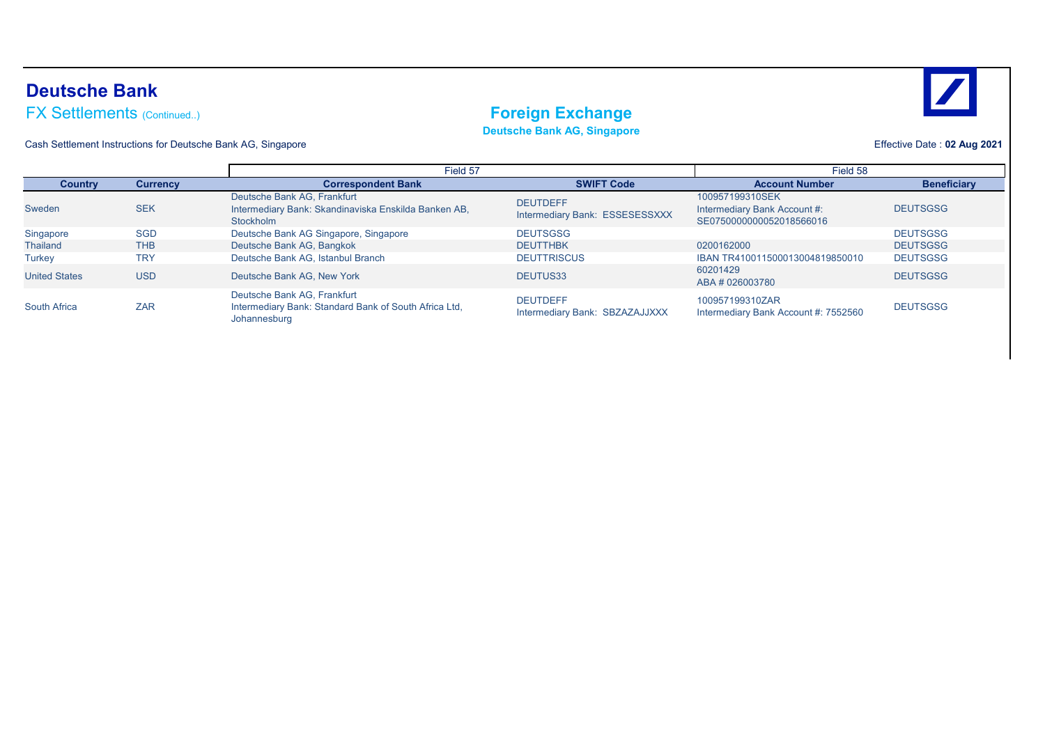### **Deutsche Bank**

### FX Settlements (Continued..) **FX Settlements** (Continued..)

**Deutsche Bank AG, Singapore**

Cash Settlement Instructions for Deutsche Bank AG, Singapore

Effective Date : **02 Aug 2021**

|                      |                 | Field 57                                                                                             |                                                   | Field 58                                                                    |                    |
|----------------------|-----------------|------------------------------------------------------------------------------------------------------|---------------------------------------------------|-----------------------------------------------------------------------------|--------------------|
| <b>Country</b>       | <b>Currency</b> | <b>Correspondent Bank</b>                                                                            | <b>SWIFT Code</b>                                 | <b>Account Number</b>                                                       | <b>Beneficiary</b> |
| Sweden               | <b>SEK</b>      | Deutsche Bank AG, Frankfurt<br>Intermediary Bank: Skandinaviska Enskilda Banken AB,<br>Stockholm     | <b>DEUTDEFF</b><br>Intermediary Bank: ESSESESSXXX | 100957199310SEK<br>Intermediary Bank Account #:<br>SE0750000000052018566016 | <b>DEUTSGSG</b>    |
| Singapore            | <b>SGD</b>      | Deutsche Bank AG Singapore, Singapore                                                                | <b>DEUTSGSG</b>                                   |                                                                             | <b>DEUTSGSG</b>    |
| Thailand             | <b>THB</b>      | Deutsche Bank AG, Bangkok                                                                            | <b>DEUTTHBK</b>                                   | 0200162000                                                                  | <b>DEUTSGSG</b>    |
| <b>Turkey</b>        | <b>TRY</b>      | Deutsche Bank AG, Istanbul Branch                                                                    | <b>DEUTTRISCUS</b>                                | IBAN TR410011500013004819850010                                             | <b>DEUTSGSG</b>    |
| <b>United States</b> | <b>USD</b>      | Deutsche Bank AG, New York                                                                           | DEUTUS33                                          | 60201429<br>ABA # 026003780                                                 | <b>DEUTSGSG</b>    |
| <b>South Africa</b>  | <b>ZAR</b>      | Deutsche Bank AG, Frankfurt<br>Intermediary Bank: Standard Bank of South Africa Ltd,<br>Johannesburg | <b>DEUTDEFF</b><br>Intermediary Bank: SBZAZAJJXXX | 100957199310ZAR<br>Intermediary Bank Account #: 7552560                     | <b>DEUTSGSG</b>    |

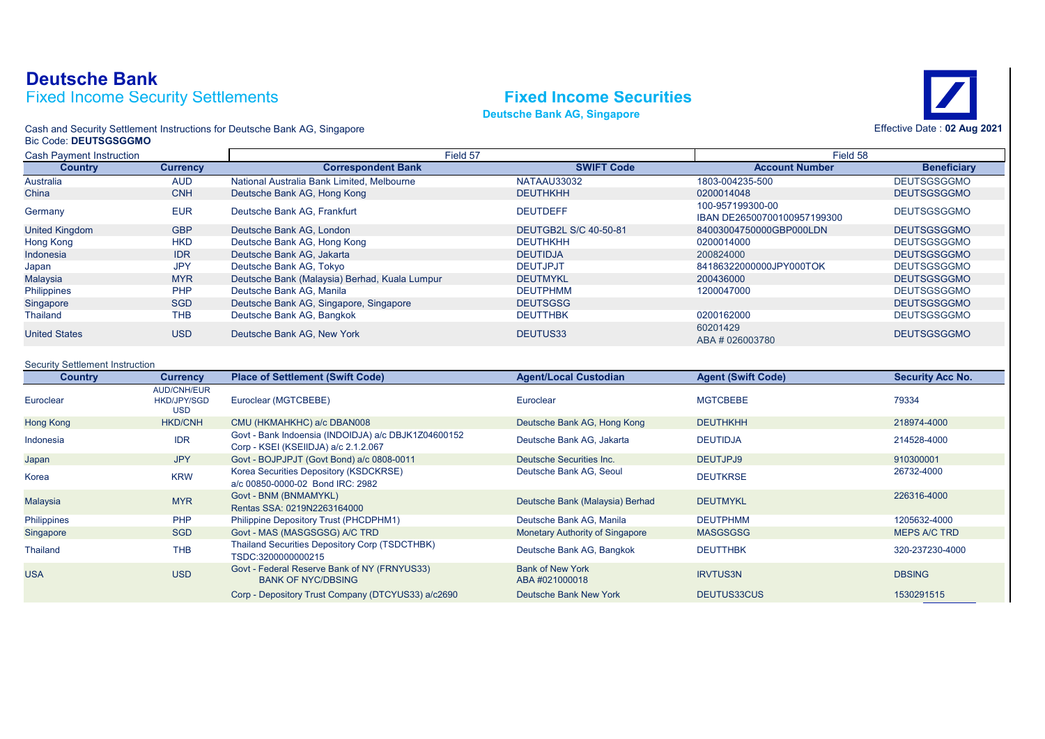### Fixed Income Security Settlements **Fixed Income Securities Deutsche Bank**





Cash and Security Settlement Instructions for Deutsche Bank AG, Singapore Bic Code: **DEUTSGSGGMO**

| <b>Cash Payment Instruction</b> |                 | Field 57                                      |                       | Field 58                                        |                    |
|---------------------------------|-----------------|-----------------------------------------------|-----------------------|-------------------------------------------------|--------------------|
| <b>Country</b>                  | <b>Currency</b> | <b>Correspondent Bank</b>                     | <b>SWIFT Code</b>     | <b>Account Number</b>                           | <b>Beneficiary</b> |
| Australia                       | <b>AUD</b>      | National Australia Bank Limited, Melbourne    | NATAAU33032           | 1803-004235-500                                 | <b>DEUTSGSGGMO</b> |
| China                           | <b>CNH</b>      | Deutsche Bank AG, Hong Kong                   | <b>DEUTHKHH</b>       | 0200014048                                      | <b>DEUTSGSGGMO</b> |
| Germany                         | <b>EUR</b>      | Deutsche Bank AG, Frankfurt                   | <b>DEUTDEFF</b>       | 100-957199300-00<br>IBAN DE26500700100957199300 | <b>DEUTSGSGGMO</b> |
| <b>United Kingdom</b>           | <b>GBP</b>      | Deutsche Bank AG, London                      | DEUTGB2L S/C 40-50-81 | 84003004750000GBP000LDN                         | <b>DEUTSGSGGMO</b> |
| Hong Kong                       | <b>HKD</b>      | Deutsche Bank AG, Hong Kong                   | <b>DEUTHKHH</b>       | 0200014000                                      | <b>DEUTSGSGGMO</b> |
| Indonesia                       | <b>IDR</b>      | Deutsche Bank AG, Jakarta                     | <b>DEUTIDJA</b>       | 200824000                                       | <b>DEUTSGSGGMO</b> |
| Japan                           | <b>JPY</b>      | Deutsche Bank AG, Tokyo                       | <b>DEUTJPJT</b>       | 84186322000000JPY000TOK                         | <b>DEUTSGSGGMO</b> |
| Malaysia                        | <b>MYR</b>      | Deutsche Bank (Malaysia) Berhad, Kuala Lumpur | <b>DEUTMYKL</b>       | 200436000                                       | <b>DEUTSGSGGMO</b> |
| Philippines                     | <b>PHP</b>      | Deutsche Bank AG, Manila                      | <b>DEUTPHMM</b>       | 1200047000                                      | <b>DEUTSGSGGMO</b> |
| Singapore                       | <b>SGD</b>      | Deutsche Bank AG, Singapore, Singapore        | <b>DEUTSGSG</b>       |                                                 | <b>DEUTSGSGGMO</b> |
| Thailand                        | <b>THB</b>      | Deutsche Bank AG, Bangkok                     | <b>DEUTTHBK</b>       | 0200162000                                      | <b>DEUTSGSGGMO</b> |
| <b>United States</b>            | <b>USD</b>      | Deutsche Bank AG. New York                    | DEUTUS33              | 60201429<br>ABA # 026003780                     | <b>DEUTSGSGGMO</b> |

### Security Settlement Instruction

| <b>Country</b>   | <b>Currency</b>                                        | <b>Place of Settlement (Swift Code)</b>                                                     | <b>Agent/Local Custodian</b>             | <b>Agent (Swift Code)</b> | <b>Security Acc No.</b> |
|------------------|--------------------------------------------------------|---------------------------------------------------------------------------------------------|------------------------------------------|---------------------------|-------------------------|
| Euroclear        | <b>AUD/CNH/EUR</b><br><b>HKD/JPY/SGD</b><br><b>USD</b> | Euroclear (MGTCBEBE)                                                                        | Euroclear                                | <b>MGTCBEBE</b>           | 79334                   |
| <b>Hong Kong</b> | <b>HKD/CNH</b>                                         | CMU (HKMAHKHC) a/c DBAN008                                                                  | Deutsche Bank AG, Hong Kong              | <b>DEUTHKHH</b>           | 218974-4000             |
| Indonesia        | <b>IDR</b>                                             | Govt - Bank Indoensia (INDOIDJA) a/c DBJK1Z04600152<br>Corp - KSEI (KSEIIDJA) a/c 2.1.2.067 | Deutsche Bank AG, Jakarta                | <b>DEUTIDJA</b>           | 214528-4000             |
| Japan            | <b>JPY</b>                                             | Govt - BOJPJPJT (Govt Bond) a/c 0808-0011                                                   | Deutsche Securities Inc.                 | DEUTJPJ9                  | 910300001               |
| Korea            | <b>KRW</b>                                             | Korea Securities Depository (KSDCKRSE)<br>a/c 00850-0000-02 Bond IRC: 2982                  | Deutsche Bank AG, Seoul                  | <b>DEUTKRSE</b>           | 26732-4000              |
| <b>Malaysia</b>  | <b>MYR</b>                                             | Govt - BNM (BNMAMYKL)<br>Rentas SSA: 0219N2263164000                                        | Deutsche Bank (Malaysia) Berhad          | <b>DEUTMYKL</b>           | 226316-4000             |
| Philippines      | <b>PHP</b>                                             | Philippine Depository Trust (PHCDPHM1)                                                      | Deutsche Bank AG, Manila                 | <b>DEUTPHMM</b>           | 1205632-4000            |
| Singapore        | <b>SGD</b>                                             | Govt - MAS (MASGSGSG) A/C TRD                                                               | <b>Monetary Authority of Singapore</b>   | <b>MASGSGSG</b>           | <b>MEPS A/C TRD</b>     |
| Thailand         | <b>THB</b>                                             | Thailand Securities Depository Corp (TSDCTHBK)<br>TSDC:3200000000215                        | Deutsche Bank AG, Bangkok                | <b>DEUTTHBK</b>           | 320-237230-4000         |
| <b>USA</b>       | <b>USD</b>                                             | Govt - Federal Reserve Bank of NY (FRNYUS33)<br><b>BANK OF NYC/DBSING</b>                   | <b>Bank of New York</b><br>ABA#021000018 | <b>IRVTUS3N</b>           | <b>DBSING</b>           |
|                  |                                                        | Corp - Depository Trust Company (DTCYUS33) a/c2690                                          | Deutsche Bank New York                   | DEUTUS33CUS               | 1530291515              |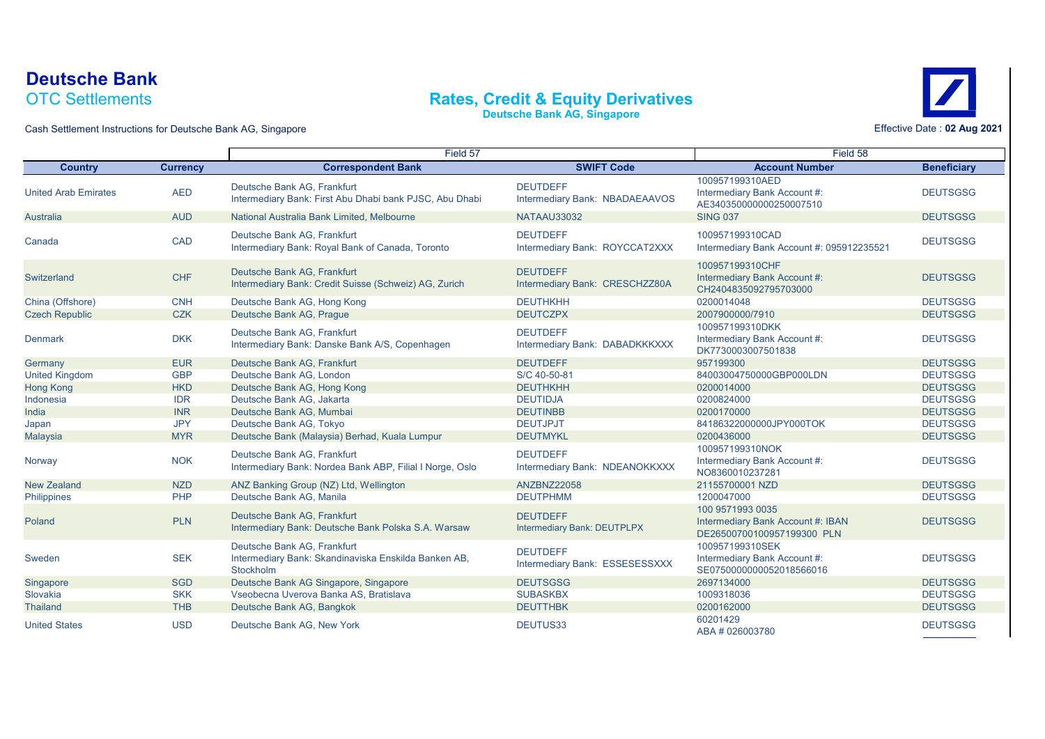### OTC Settlements **Deutsche Bank**

### **Rates, Credit & Equity Derivatives**

**Deutsche Bank AG, Singapore**



Cash Settlement Instructions for Deutsche Bank AG, Singapore

|                             |                 | Field 57                                                                                         |                                                   | Field 58                                                                            |                    |
|-----------------------------|-----------------|--------------------------------------------------------------------------------------------------|---------------------------------------------------|-------------------------------------------------------------------------------------|--------------------|
| <b>Country</b>              | <b>Currency</b> | <b>Correspondent Bank</b>                                                                        | <b>SWIFT Code</b>                                 | <b>Account Number</b>                                                               | <b>Beneficiary</b> |
| <b>United Arab Emirates</b> | <b>AED</b>      | Deutsche Bank AG, Frankfurt<br>Intermediary Bank: First Abu Dhabi bank PJSC, Abu Dhabi           | <b>DEUTDEFF</b><br>Intermediary Bank: NBADAEAAVOS | 100957199310AED<br>Intermediary Bank Account #:<br>AE340350000000250007510          | <b>DEUTSGSG</b>    |
| Australia                   | <b>AUD</b>      | National Australia Bank Limited, Melbourne                                                       | NATAAU33032                                       | <b>SING 037</b>                                                                     | <b>DEUTSGSG</b>    |
| Canada                      | CAD             | Deutsche Bank AG, Frankfurt<br>Intermediary Bank: Royal Bank of Canada, Toronto                  | <b>DEUTDEFF</b><br>Intermediary Bank: ROYCCAT2XXX | 100957199310CAD<br>Intermediary Bank Account #: 095912235521                        | <b>DEUTSGSG</b>    |
| Switzerland                 | <b>CHF</b>      | Deutsche Bank AG. Frankfurt<br>Intermediary Bank: Credit Suisse (Schweiz) AG, Zurich             | <b>DEUTDEFF</b><br>Intermediary Bank: CRESCHZZ80A | 100957199310CHF<br>Intermediary Bank Account #:<br>CH2404835092795703000            | <b>DEUTSGSG</b>    |
| China (Offshore)            | <b>CNH</b>      | Deutsche Bank AG, Hong Kong                                                                      | <b>DEUTHKHH</b>                                   | 0200014048                                                                          | <b>DEUTSGSG</b>    |
| <b>Czech Republic</b>       | <b>CZK</b>      | Deutsche Bank AG, Praque                                                                         | <b>DEUTCZPX</b>                                   | 2007900000/7910                                                                     | <b>DEUTSGSG</b>    |
| <b>Denmark</b>              | <b>DKK</b>      | Deutsche Bank AG. Frankfurt<br>Intermediary Bank: Danske Bank A/S, Copenhagen                    | <b>DEUTDEFF</b><br>Intermediary Bank: DABADKKKXXX | 100957199310DKK<br>Intermediary Bank Account #:<br>DK7730003007501838               | <b>DEUTSGSG</b>    |
| Germany                     | <b>EUR</b>      | Deutsche Bank AG, Frankfurt                                                                      | <b>DEUTDEFF</b>                                   | 957199300                                                                           | <b>DEUTSGSG</b>    |
| <b>United Kingdom</b>       | <b>GBP</b>      | Deutsche Bank AG. London                                                                         | S/C 40-50-81                                      | 84003004750000GBP000LDN                                                             | <b>DEUTSGSG</b>    |
| Hong Kong                   | <b>HKD</b>      | Deutsche Bank AG, Hong Kong                                                                      | <b>DEUTHKHH</b>                                   | 0200014000                                                                          | <b>DEUTSGSG</b>    |
| Indonesia                   | <b>IDR</b>      | Deutsche Bank AG, Jakarta                                                                        | <b>DEUTIDJA</b>                                   | 0200824000                                                                          | <b>DEUTSGSG</b>    |
| India                       | <b>INR</b>      | Deutsche Bank AG, Mumbai                                                                         | <b>DEUTINBB</b>                                   | 0200170000                                                                          | <b>DEUTSGSG</b>    |
| Japan                       | <b>JPY</b>      | Deutsche Bank AG, Tokyo                                                                          | <b>DEUTJPJT</b>                                   | 84186322000000JPY000TOK                                                             | <b>DEUTSGSG</b>    |
| Malaysia                    | <b>MYR</b>      | Deutsche Bank (Malaysia) Berhad, Kuala Lumpur                                                    | <b>DEUTMYKL</b>                                   | 0200436000                                                                          | <b>DEUTSGSG</b>    |
| Norway                      | <b>NOK</b>      | Deutsche Bank AG, Frankfurt<br>Intermediary Bank: Nordea Bank ABP, Filial I Norge, Oslo          | <b>DEUTDEFF</b><br>Intermediary Bank: NDEANOKKXXX | 100957199310NOK<br>Intermediary Bank Account #:<br>NO8360010237281                  | <b>DEUTSGSG</b>    |
| <b>New Zealand</b>          | <b>NZD</b>      | ANZ Banking Group (NZ) Ltd, Wellington                                                           | ANZBNZ22058                                       | 21155700001 NZD                                                                     | <b>DEUTSGSG</b>    |
| <b>Philippines</b>          | PHP             | Deutsche Bank AG, Manila                                                                         | <b>DEUTPHMM</b>                                   | 1200047000                                                                          | <b>DEUTSGSG</b>    |
| Poland                      | <b>PLN</b>      | Deutsche Bank AG, Frankfurt<br>Intermediary Bank: Deutsche Bank Polska S.A. Warsaw               | <b>DEUTDEFF</b><br>Intermediary Bank: DEUTPLPX    | 100 9571993 0035<br>Intermediary Bank Account #: IBAN<br>DE26500700100957199300 PLN | <b>DEUTSGSG</b>    |
| Sweden                      | <b>SEK</b>      | Deutsche Bank AG. Frankfurt<br>Intermediary Bank: Skandinaviska Enskilda Banken AB,<br>Stockholm | <b>DEUTDEFF</b><br>Intermediary Bank: ESSESESSXXX | 100957199310SEK<br>Intermediary Bank Account #:<br>SE0750000000052018566016         | <b>DEUTSGSG</b>    |
| Singapore                   | <b>SGD</b>      | Deutsche Bank AG Singapore, Singapore                                                            | <b>DEUTSGSG</b>                                   | 2697134000                                                                          | <b>DEUTSGSG</b>    |
| Slovakia                    | <b>SKK</b>      | Vseobecna Uverova Banka AS, Bratislava                                                           | <b>SUBASKBX</b>                                   | 1009318036                                                                          | <b>DEUTSGSG</b>    |
| <b>Thailand</b>             | <b>THB</b>      | Deutsche Bank AG, Bangkok                                                                        | <b>DEUTTHBK</b>                                   | 0200162000                                                                          | <b>DEUTSGSG</b>    |
| <b>United States</b>        | <b>USD</b>      | Deutsche Bank AG. New York                                                                       | DEUTUS33                                          | 60201429<br>ABA # 026003780                                                         | <b>DEUTSGSG</b>    |